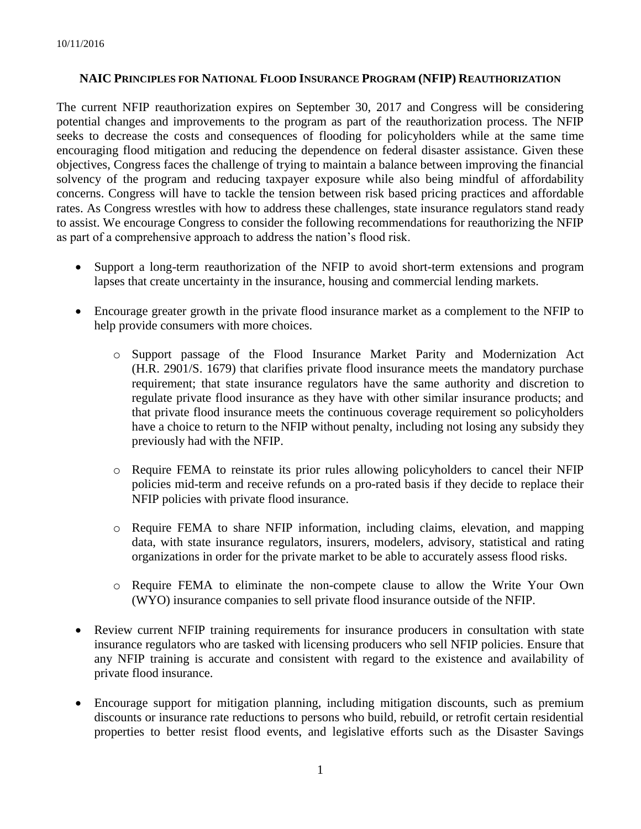## **NAIC PRINCIPLES FOR NATIONAL FLOOD INSURANCE PROGRAM (NFIP) REAUTHORIZATION**

The current NFIP reauthorization expires on September 30, 2017 and Congress will be considering potential changes and improvements to the program as part of the reauthorization process. The NFIP seeks to decrease the costs and consequences of flooding for policyholders while at the same time encouraging flood mitigation and reducing the dependence on federal disaster assistance. Given these objectives, Congress faces the challenge of trying to maintain a balance between improving the financial solvency of the program and reducing taxpayer exposure while also being mindful of affordability concerns. Congress will have to tackle the tension between risk based pricing practices and affordable rates. As Congress wrestles with how to address these challenges, state insurance regulators stand ready to assist. We encourage Congress to consider the following recommendations for reauthorizing the NFIP as part of a comprehensive approach to address the nation's flood risk.

- Support a long-term reauthorization of the NFIP to avoid short-term extensions and program lapses that create uncertainty in the insurance, housing and commercial lending markets.
- Encourage greater growth in the private flood insurance market as a complement to the NFIP to help provide consumers with more choices.
	- o Support passage of the Flood Insurance Market Parity and Modernization Act (H.R. 2901/S. 1679) that clarifies private flood insurance meets the mandatory purchase requirement; that state insurance regulators have the same authority and discretion to regulate private flood insurance as they have with other similar insurance products; and that private flood insurance meets the continuous coverage requirement so policyholders have a choice to return to the NFIP without penalty, including not losing any subsidy they previously had with the NFIP.
	- o Require FEMA to reinstate its prior rules allowing policyholders to cancel their NFIP policies mid-term and receive refunds on a pro-rated basis if they decide to replace their NFIP policies with private flood insurance.
	- o Require FEMA to share NFIP information, including claims, elevation, and mapping data, with state insurance regulators, insurers, modelers, advisory, statistical and rating organizations in order for the private market to be able to accurately assess flood risks.
	- o Require FEMA to eliminate the non-compete clause to allow the Write Your Own (WYO) insurance companies to sell private flood insurance outside of the NFIP.
- Review current NFIP training requirements for insurance producers in consultation with state insurance regulators who are tasked with licensing producers who sell NFIP policies. Ensure that any NFIP training is accurate and consistent with regard to the existence and availability of private flood insurance.
- Encourage support for mitigation planning, including mitigation discounts, such as premium discounts or insurance rate reductions to persons who build, rebuild, or retrofit certain residential properties to better resist flood events, and legislative efforts such as the Disaster Savings